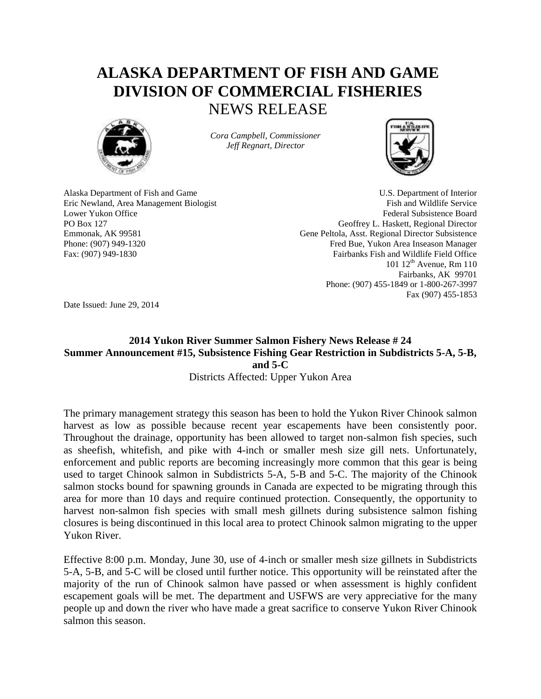## **ALASKA DEPARTMENT OF FISH AND GAME DIVISION OF COMMERCIAL FISHERIES** NEWS RELEASE



*Cora Campbell, Commissioner Jeff Regnart, Director*



Alaska Department of Fish and Game U.S. Department of Interior Eric Newland, Area Management Biologist Fish and Wildlife Service Lower Yukon Office **Federal Subsistence Board** Federal Subsistence Board PO Box 127 Geoffrey L. Haskett, Regional Director Emmonak, AK 99581 Gene Peltola, Asst. Regional Director Subsistence Phone: (907) 949-1320 Fred Bue, Yukon Area Inseason Manager Fax: (907) 949-1830 Fairbanks Fish and Wildlife Field Office 101  $12^{th}$  Avenue, Rm 110 Fairbanks, AK 99701 Phone: (907) 455-1849 or 1-800-267-3997 Fax (907) 455-1853

Date Issued: June 29, 2014

## **2014 Yukon River Summer Salmon Fishery News Release # 24 Summer Announcement #15, Subsistence Fishing Gear Restriction in Subdistricts 5-A, 5-B, and 5-C**

Districts Affected: Upper Yukon Area

The primary management strategy this season has been to hold the Yukon River Chinook salmon harvest as low as possible because recent year escapements have been consistently poor. Throughout the drainage, opportunity has been allowed to target non-salmon fish species, such as sheefish, whitefish, and pike with 4-inch or smaller mesh size gill nets. Unfortunately, enforcement and public reports are becoming increasingly more common that this gear is being used to target Chinook salmon in Subdistricts 5-A, 5-B and 5-C. The majority of the Chinook salmon stocks bound for spawning grounds in Canada are expected to be migrating through this area for more than 10 days and require continued protection. Consequently, the opportunity to harvest non-salmon fish species with small mesh gillnets during subsistence salmon fishing closures is being discontinued in this local area to protect Chinook salmon migrating to the upper Yukon River.

Effective 8:00 p.m. Monday, June 30, use of 4-inch or smaller mesh size gillnets in Subdistricts 5-A, 5-B, and 5-C will be closed until further notice. This opportunity will be reinstated after the majority of the run of Chinook salmon have passed or when assessment is highly confident escapement goals will be met. The department and USFWS are very appreciative for the many people up and down the river who have made a great sacrifice to conserve Yukon River Chinook salmon this season.